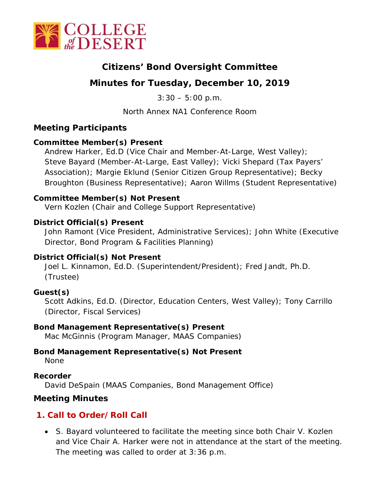

# **Citizens' Bond Oversight Committee**

# **Minutes for Tuesday, December 10, 2019**

 $3:30 - 5:00 \text{ p.m.}$ 

North Annex NA1 Conference Room

### **Meeting Participants**

#### **Committee Member(s) Present**

Andrew Harker, Ed.D (Vice Chair and Member-At-Large, West Valley); Steve Bayard (Member-At-Large, East Valley); Vicki Shepard (Tax Payers' Association); Margie Eklund (Senior Citizen Group Representative); Becky Broughton (Business Representative); Aaron Willms (Student Representative)

#### **Committee Member(s) Not Present**

Vern Kozlen (Chair and College Support Representative)

#### **District Official(s) Present**

John Ramont (Vice President, Administrative Services); John White (Executive Director, Bond Program & Facilities Planning)

#### **District Official(s) Not Present**

Joel L. Kinnamon, Ed.D. (Superintendent/President); Fred Jandt, Ph.D. (Trustee)

#### **Guest(s)**

Scott Adkins, Ed.D. (Director, Education Centers, West Valley); Tony Carrillo (Director, Fiscal Services)

#### **Bond Management Representative(s) Present**

Mac McGinnis (Program Manager, MAAS Companies)

#### **Bond Management Representative(s) Not Present**

None

#### **Recorder**

David DeSpain (MAAS Companies, Bond Management Office)

### **Meeting Minutes**

### **1. Call to Order/Roll Call**

• S. Bayard volunteered to facilitate the meeting since both Chair V. Kozlen and Vice Chair A. Harker were not in attendance at the start of the meeting. The meeting was called to order at 3:36 p.m.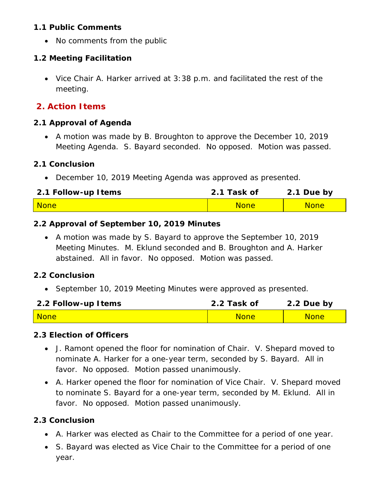#### **1.1 Public Comments**

• No comments from the public

#### **1.2 Meeting Facilitation**

• Vice Chair A. Harker arrived at 3:38 p.m. and facilitated the rest of the meeting.

# **2. Action Items**

#### **2.1 Approval of Agenda**

• A motion was made by B. Broughton to approve the December 10, 2019 Meeting Agenda. S. Bayard seconded. No opposed. Motion was passed.

#### **2.1 Conclusion**

• December 10, 2019 Meeting Agenda was approved as presented.

| 2.1 Follow-up Items | 2.1 Task of | 2.1 Due by  |
|---------------------|-------------|-------------|
| <b>None</b>         | <b>None</b> | <b>None</b> |

#### **2.2 Approval of September 10, 2019 Minutes**

• A motion was made by S. Bayard to approve the September 10, 2019 Meeting Minutes. M. Eklund seconded and B. Broughton and A. Harker abstained. All in favor. No opposed. Motion was passed.

#### **2.2 Conclusion**

• September 10, 2019 Meeting Minutes were approved as presented.

| 2.2 Follow-up Items | 2.2 Task of | 2.2 Due by  |
|---------------------|-------------|-------------|
| <b>None</b>         | <b>None</b> | <b>None</b> |

#### **2.3 Election of Officers**

- J. Ramont opened the floor for nomination of Chair. V. Shepard moved to nominate A. Harker for a one-year term, seconded by S. Bayard. All in favor. No opposed. Motion passed unanimously.
- A. Harker opened the floor for nomination of Vice Chair. V. Shepard moved to nominate S. Bayard for a one-year term, seconded by M. Eklund. All in favor. No opposed. Motion passed unanimously.

#### **2.3 Conclusion**

- A. Harker was elected as Chair to the Committee for a period of one year.
- S. Bayard was elected as Vice Chair to the Committee for a period of one year.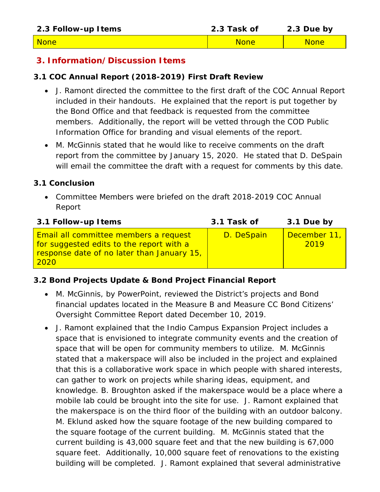| 2.3 Follow-up Items | 2.3 Task of | 2.3 Due by  |
|---------------------|-------------|-------------|
| <b>None</b>         | <b>None</b> | <b>None</b> |

#### **3. Information/Discussion Items**

#### **3.1 COC Annual Report (2018-2019) First Draft Review**

- J. Ramont directed the committee to the first draft of the COC Annual Report included in their handouts. He explained that the report is put together by the Bond Office and that feedback is requested from the committee members. Additionally, the report will be vetted through the COD Public Information Office for branding and visual elements of the report.
- M. McGinnis stated that he would like to receive comments on the draft report from the committee by January 15, 2020. He stated that D. DeSpain will email the committee the draft with a request for comments by this date.

#### **3.1 Conclusion**

• Committee Members were briefed on the draft 2018-2019 COC Annual Report

| 3.1 Task of | 3.1 Due by           |
|-------------|----------------------|
| D. DeSpain  | December 11,<br>2019 |
|             |                      |

#### **3.2 Bond Projects Update & Bond Project Financial Report**

- M. McGinnis, by PowerPoint, reviewed the District's projects and Bond financial updates located in the Measure B and Measure CC Bond Citizens' Oversight Committee Report dated December 10, 2019.
- J. Ramont explained that the Indio Campus Expansion Project includes a space that is envisioned to integrate community events and the creation of space that will be open for community members to utilize. M. McGinnis stated that a makerspace will also be included in the project and explained that this is a collaborative work space in which people with shared interests, can gather to work on projects while sharing ideas, equipment, and knowledge. B. Broughton asked if the makerspace would be a place where a mobile lab could be brought into the site for use. J. Ramont explained that the makerspace is on the third floor of the building with an outdoor balcony. M. Eklund asked how the square footage of the new building compared to the square footage of the current building. M. McGinnis stated that the current building is 43,000 square feet and that the new building is 67,000 square feet. Additionally, 10,000 square feet of renovations to the existing building will be completed. J. Ramont explained that several administrative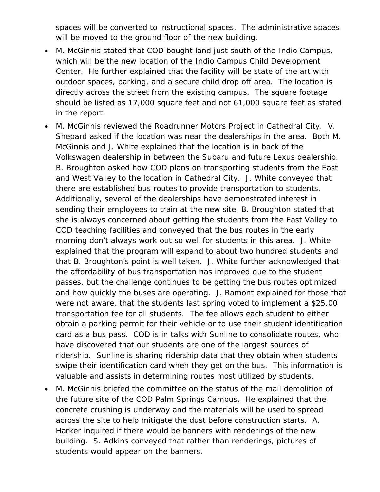spaces will be converted to instructional spaces. The administrative spaces will be moved to the ground floor of the new building.

- M. McGinnis stated that COD bought land just south of the Indio Campus, which will be the new location of the Indio Campus Child Development Center. He further explained that the facility will be state of the art with outdoor spaces, parking, and a secure child drop off area. The location is directly across the street from the existing campus. The square footage should be listed as 17,000 square feet and not 61,000 square feet as stated in the report.
- M. McGinnis reviewed the Roadrunner Motors Project in Cathedral City. V. Shepard asked if the location was near the dealerships in the area. Both M. McGinnis and J. White explained that the location is in back of the Volkswagen dealership in between the Subaru and future Lexus dealership. B. Broughton asked how COD plans on transporting students from the East and West Valley to the location in Cathedral City. J. White conveyed that there are established bus routes to provide transportation to students. Additionally, several of the dealerships have demonstrated interest in sending their employees to train at the new site. B. Broughton stated that she is always concerned about getting the students from the East Valley to COD teaching facilities and conveyed that the bus routes in the early morning don't always work out so well for students in this area. J. White explained that the program will expand to about two hundred students and that B. Broughton's point is well taken. J. White further acknowledged that the affordability of bus transportation has improved due to the student passes, but the challenge continues to be getting the bus routes optimized and how quickly the buses are operating. J. Ramont explained for those that were not aware, that the students last spring voted to implement a \$25.00 transportation fee for all students. The fee allows each student to either obtain a parking permit for their vehicle or to use their student identification card as a bus pass. COD is in talks with Sunline to consolidate routes, who have discovered that our students are one of the largest sources of ridership. Sunline is sharing ridership data that they obtain when students swipe their identification card when they get on the bus. This information is valuable and assists in determining routes most utilized by students.
- M. McGinnis briefed the committee on the status of the mall demolition of the future site of the COD Palm Springs Campus. He explained that the concrete crushing is underway and the materials will be used to spread across the site to help mitigate the dust before construction starts. A. Harker inquired if there would be banners with renderings of the new building. S. Adkins conveyed that rather than renderings, pictures of students would appear on the banners.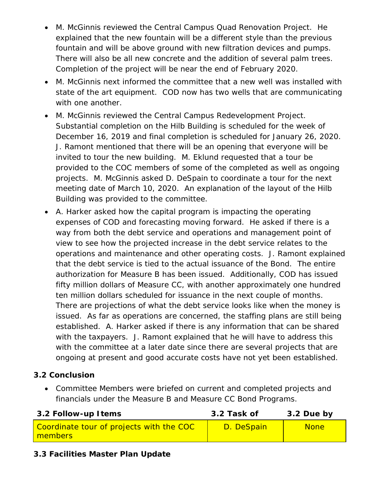- M. McGinnis reviewed the Central Campus Quad Renovation Project. He explained that the new fountain will be a different style than the previous fountain and will be above ground with new filtration devices and pumps. There will also be all new concrete and the addition of several palm trees. Completion of the project will be near the end of February 2020.
- M. McGinnis next informed the committee that a new well was installed with state of the art equipment. COD now has two wells that are communicating with one another.
- M. McGinnis reviewed the Central Campus Redevelopment Project. Substantial completion on the Hilb Building is scheduled for the week of December 16, 2019 and final completion is scheduled for January 26, 2020. J. Ramont mentioned that there will be an opening that everyone will be invited to tour the new building. M. Eklund requested that a tour be provided to the COC members of some of the completed as well as ongoing projects. M. McGinnis asked D. DeSpain to coordinate a tour for the next meeting date of March 10, 2020. An explanation of the layout of the Hilb Building was provided to the committee.
- A. Harker asked how the capital program is impacting the operating expenses of COD and forecasting moving forward. He asked if there is a way from both the debt service and operations and management point of view to see how the projected increase in the debt service relates to the operations and maintenance and other operating costs. J. Ramont explained that the debt service is tied to the actual issuance of the Bond. The entire authorization for Measure B has been issued. Additionally, COD has issued fifty million dollars of Measure CC, with another approximately one hundred ten million dollars scheduled for issuance in the next couple of months. There are projections of what the debt service looks like when the money is issued. As far as operations are concerned, the staffing plans are still being established. A. Harker asked if there is any information that can be shared with the taxpayers. J. Ramont explained that he will have to address this with the committee at a later date since there are several projects that are ongoing at present and good accurate costs have not yet been established.

#### **3.2 Conclusion**

• Committee Members were briefed on current and completed projects and financials under the Measure B and Measure CC Bond Programs.

| 3.2 Follow-up Items                                 | 3.2 Task of | 3.2 Due by  |
|-----------------------------------------------------|-------------|-------------|
| Coordinate tour of projects with the COC<br>members | D. DeSpain  | <b>None</b> |

### **3.3 Facilities Master Plan Update**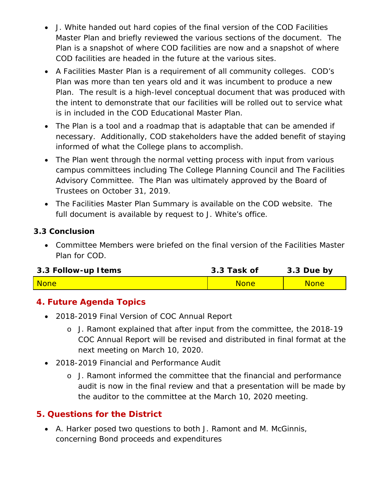- J. White handed out hard copies of the final version of the COD Facilities Master Plan and briefly reviewed the various sections of the document. The Plan is a snapshot of where COD facilities are now and a snapshot of where COD facilities are headed in the future at the various sites.
- A Facilities Master Plan is a requirement of all community colleges. COD's Plan was more than ten years old and it was incumbent to produce a new Plan. The result is a high-level conceptual document that was produced with the intent to demonstrate that our facilities will be rolled out to service what is in included in the COD Educational Master Plan.
- The Plan is a tool and a roadmap that is adaptable that can be amended if necessary. Additionally, COD stakeholders have the added benefit of staying informed of what the College plans to accomplish.
- The Plan went through the normal vetting process with input from various campus committees including The College Planning Council and The Facilities Advisory Committee. The Plan was ultimately approved by the Board of Trustees on October 31, 2019.
- The Facilities Master Plan Summary is available on the COD website. The full document is available by request to J. White's office.

#### **3.3 Conclusion**

• Committee Members were briefed on the final version of the Facilities Master Plan for COD.

| 3.3 Follow-up I tems | 3.3 Task of | 3.3 Due by  |
|----------------------|-------------|-------------|
| <b>None</b>          | <b>None</b> | <b>None</b> |

# **4. Future Agenda Topics**

- 2018-2019 Final Version of COC Annual Report
	- o J. Ramont explained that after input from the committee, the 2018-19 COC Annual Report will be revised and distributed in final format at the next meeting on March 10, 2020.
- 2018-2019 Financial and Performance Audit
	- o J. Ramont informed the committee that the financial and performance audit is now in the final review and that a presentation will be made by the auditor to the committee at the March 10, 2020 meeting.

### **5. Questions for the District**

• A. Harker posed two questions to both J. Ramont and M. McGinnis, concerning Bond proceeds and expenditures